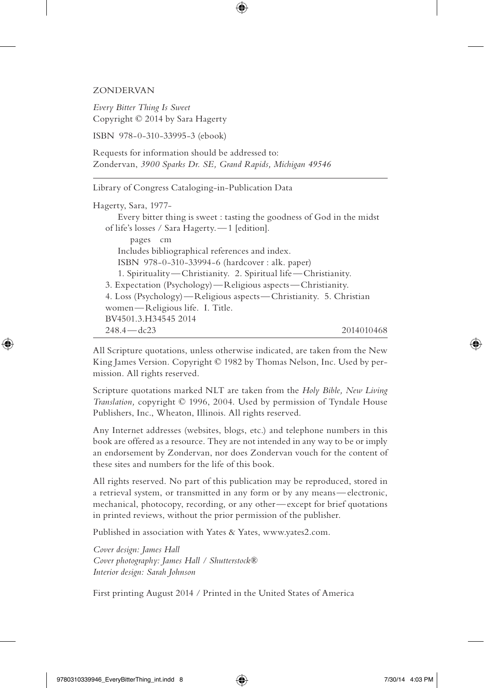#### ZONDERVAN

*Every Bitter Thing Is Sweet*  Copyright © 2014 by Sara Hagerty

ISBN 978-0-310-33995-3 (ebook)

Requests for information should be addressed to: Zondervan, *3900 Sparks Dr. SE, Grand Rapids, Michigan 49546*

Library of Congress Cataloging-in-Publication Data

Hagerty, Sara, 1977- Every bitter thing is sweet : tasting the goodness of God in the midst of life's losses / Sara Hagerty.—1 [edition]. pages cm Includes bibliographical references and index. ISBN 978-0-310-33994-6 (hardcover : alk. paper) 1. Spirituality—Christianity. 2. Spiritual life—Christianity. 3. Expectation (Psychology)—Religious aspects—Christianity. 4. Loss (Psychology)—Religious aspects—Christianity. 5. Christian women—Religious life. I. Title. BV4501.3.H34545 2014 2014010468 2014010468

All Scripture quotations, unless otherwise indicated, are taken from the New King James Version*.* Copyright © 1982 by Thomas Nelson, Inc. Used by permission. All rights reserved.

Scripture quotations marked NLT are taken from the *Holy Bible, New Living Translation,* copyright © 1996, 2004. Used by permission of Tyndale House Publishers, Inc., Wheaton, Illinois. All rights reserved.

Any Internet addresses (websites, blogs, etc.) and telephone numbers in this book are offered as a resource. They are not intended in any way to be or imply an endorsement by Zondervan, nor does Zondervan vouch for the content of these sites and numbers for the life of this book.

All rights reserved. No part of this publication may be reproduced, stored in a retrieval system, or transmitted in any form or by any means—electronic, mechanical, photocopy, recording, or any other— except for brief quotations in printed reviews, without the prior permission of the publisher.

Published in association with Yates & Yates, www.yates2.com.

*Cover design: James Hall Cover photography: James Hall / Shutterstock® Interior design: Sarah Johnson*

First printing August 2014 / Printed in the United States of America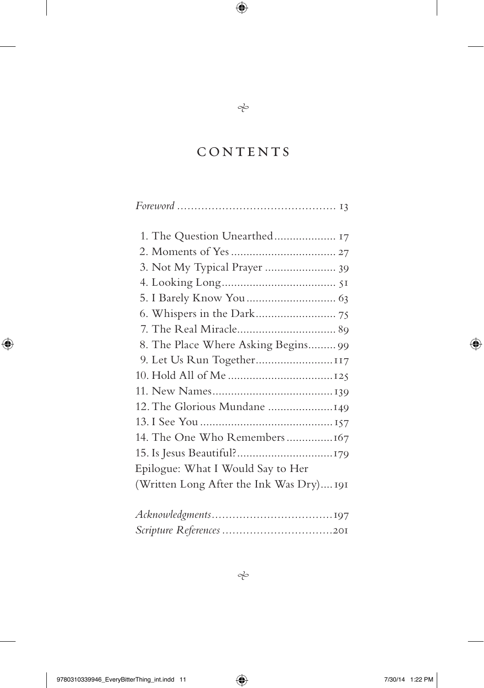# **CONTENTS**

 $\approx$ 

| 1. The Question Unearthed 17             |
|------------------------------------------|
|                                          |
| 3. Not My Typical Prayer  39             |
|                                          |
|                                          |
|                                          |
|                                          |
| 8. The Place Where Asking Begins 99      |
| 9. Let Us Run Together117                |
|                                          |
|                                          |
| 12. The Glorious Mundane 149             |
|                                          |
| 14. The One Who Remembers167             |
|                                          |
| Epilogue: What I Would Say to Her        |
| (Written Long After the Ink Was Dry) 191 |
|                                          |
|                                          |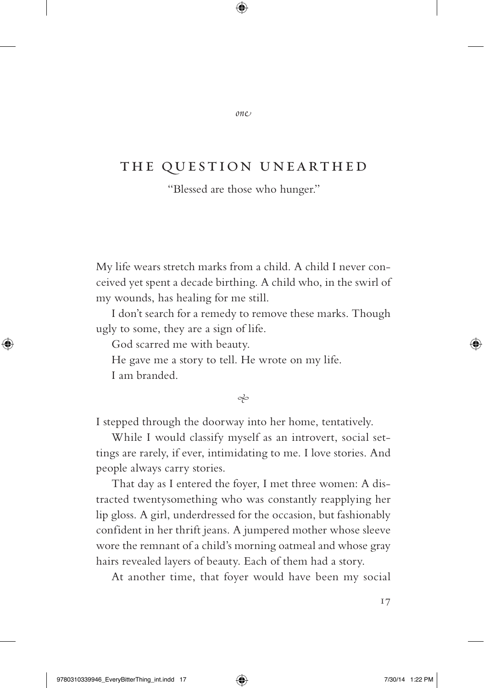#### *one*

### the question unearthed

"Blessed are those who hunger."

My life wears stretch marks from a child. A child I never conceived yet spent a decade birthing. A child who, in the swirl of my wounds, has healing for me still.

I don't search for a remedy to remove these marks. Though ugly to some, they are a sign of life.

God scarred me with beauty.

He gave me a story to tell. He wrote on my life.

I am branded.

### ☆

I stepped through the doorway into her home, tentatively.

While I would classify myself as an introvert, social settings are rarely, if ever, intimidating to me. I love stories. And people always carry stories.

That day as I entered the foyer, I met three women: A distracted twentysomething who was constantly reapplying her lip gloss. A girl, underdressed for the occasion, but fashionably confident in her thrift jeans. A jumpered mother whose sleeve wore the remnant of a child's morning oatmeal and whose gray hairs revealed layers of beauty. Each of them had a story.

At another time, that foyer would have been my social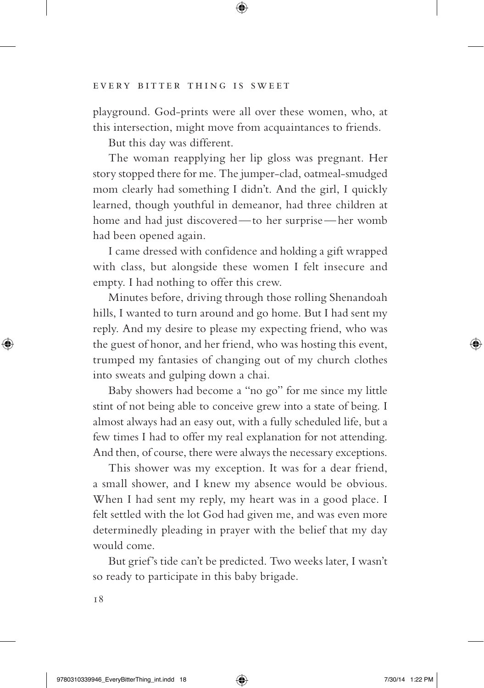playground. God-prints were all over these women, who, at this intersection, might move from acquaintances to friends.

But this day was different.

The woman reapplying her lip gloss was pregnant. Her story stopped there for me. The jumper-clad, oatmeal-smudged mom clearly had something I didn't. And the girl, I quickly learned, though youthful in demeanor, had three children at home and had just discovered— to her surprise— her womb had been opened again.

I came dressed with confidence and holding a gift wrapped with class, but alongside these women I felt insecure and empty. I had nothing to offer this crew.

Minutes before, driving through those rolling Shenandoah hills, I wanted to turn around and go home. But I had sent my reply. And my desire to please my expecting friend, who was the guest of honor, and her friend, who was hosting this event, trumped my fantasies of changing out of my church clothes into sweats and gulping down a chai.

Baby showers had become a "no go" for me since my little stint of not being able to conceive grew into a state of being. I almost always had an easy out, with a fully scheduled life, but a few times I had to offer my real explanation for not attending. And then, of course, there were always the necessary exceptions.

This shower was my exception. It was for a dear friend, a small shower, and I knew my absence would be obvious. When I had sent my reply, my heart was in a good place. I felt settled with the lot God had given me, and was even more determinedly pleading in prayer with the belief that my day would come.

But grief's tide can't be predicted. Two weeks later, I wasn't so ready to participate in this baby brigade.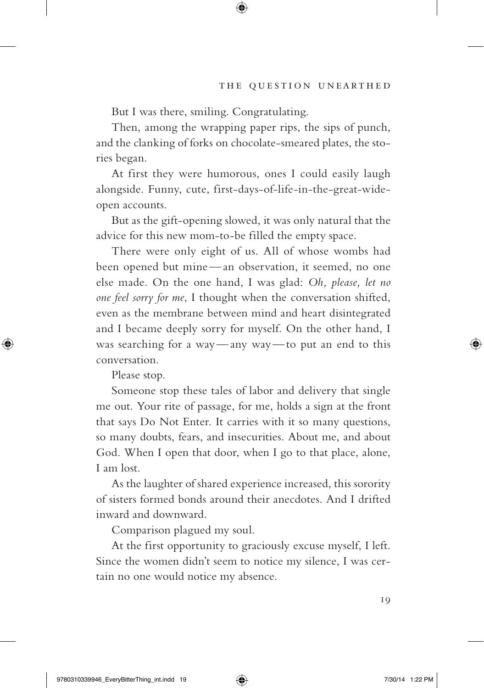But I was there, smiling. Congratulating.

Then, among the wrapping paper rips, the sips of punch, and the clanking of forks on chocolate-smeared plates, the stories began.

At first they were humorous, ones I could easily laugh alongside. Funny, cute, first-days-of-life-in-the-great-wideopen accounts.

But as the gift-opening slowed, it was only natural that the advice for this new mom-to-be filled the empty space.

There were only eight of us. All of whose wombs had been opened but mine— an observation, it seemed, no one else made. On the one hand, I was glad: *Oh, please, let no one feel sorry for me*, I thought when the conversation shifted, even as the membrane between mind and heart disintegrated and I became deeply sorry for myself. On the other hand, I was searching for a way— any way— to put an end to this conversation.

Please stop.

Someone stop these tales of labor and delivery that single me out. Your rite of passage, for me, holds a sign at the front that says Do Not Enter. It carries with it so many questions, so many doubts, fears, and insecurities. About me, and about God. When I open that door, when I go to that place, alone, I am lost.

As the laughter of shared experience increased, this sorority of sisters formed bonds around their anecdotes. And I drifted inward and downward.

Comparison plagued my soul.

At the first opportunity to graciously excuse myself, I left. Since the women didn't seem to notice my silence, I was certain no one would notice my absence.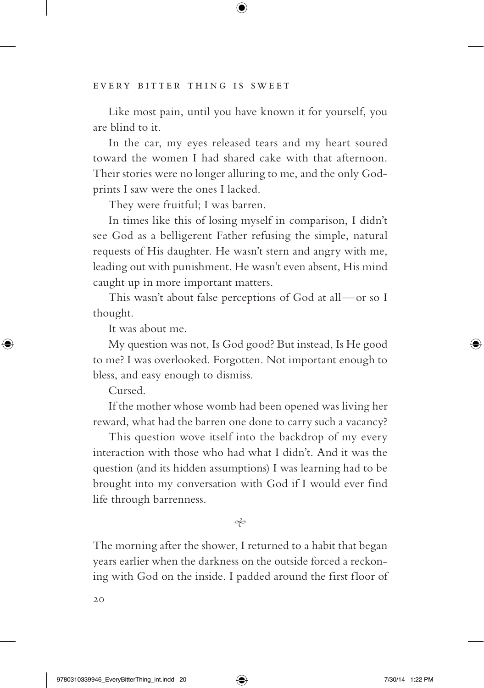Like most pain, until you have known it for yourself, you are blind to it.

In the car, my eyes released tears and my heart soured toward the women I had shared cake with that afternoon. Their stories were no longer alluring to me, and the only Godprints I saw were the ones I lacked.

They were fruitful; I was barren.

In times like this of losing myself in comparison, I didn't see God as a belligerent Father refusing the simple, natural requests of His daughter. He wasn't stern and angry with me, leading out with punishment. He wasn't even absent, His mind caught up in more important matters.

This wasn't about false perceptions of God at all— or so I thought.

It was about me.

My question was not, Is God good? But instead, Is He good to me? I was overlooked. Forgotten. Not important enough to bless, and easy enough to dismiss.

Cursed.

If the mother whose womb had been opened was living her reward, what had the barren one done to carry such a vacancy?

This question wove itself into the backdrop of my every interaction with those who had what I didn't. And it was the question (and its hidden assumptions) I was learning had to be brought into my conversation with God if I would ever find life through barrenness.

∻

The morning after the shower, I returned to a habit that began years earlier when the darkness on the outside forced a reckoning with God on the inside. I padded around the first floor of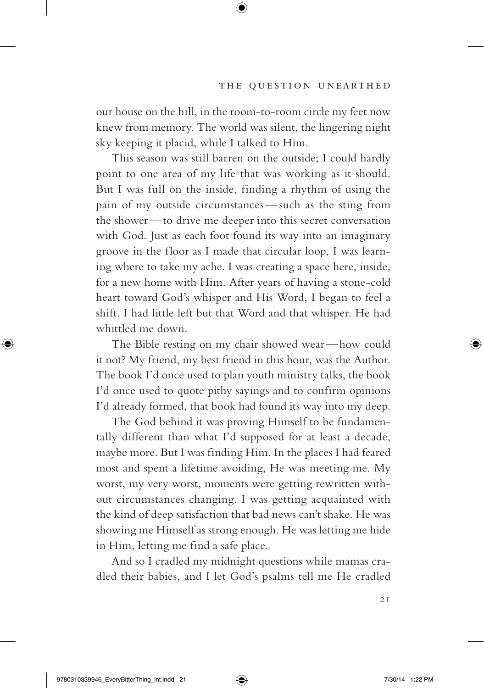our house on the hill, in the room-to-room circle my feet now knew from memory. The world was silent, the lingering night sky keeping it placid, while I talked to Him.

This season was still barren on the outside; I could hardly point to one area of my life that was working as it should. But I was full on the inside, finding a rhythm of using the pain of my outside circumstances— such as the sting from the shower— to drive me deeper into this secret conversation with God. Just as each foot found its way into an imaginary groove in the floor as I made that circular loop, I was learning where to take my ache. I was creating a space here, inside, for a new home with Him. After years of having a stone-cold heart toward God's whisper and His Word, I began to feel a shift. I had little left but that Word and that whisper. He had whittled me down.

The Bible resting on my chair showed wear— how could it not? My friend, my best friend in this hour, was the Author. The book I'd once used to plan youth ministry talks, the book I'd once used to quote pithy sayings and to confirm opinions I'd already formed, that book had found its way into my deep.

The God behind it was proving Himself to be fundamentally different than what I'd supposed for at least a decade, maybe more. But I was finding Him. In the places I had feared most and spent a lifetime avoiding, He was meeting me. My worst, my very worst, moments were getting rewritten without circumstances changing. I was getting acquainted with the kind of deep satisfaction that bad news can't shake. He was showing me Himself as strong enough. He was letting me hide in Him, letting me find a safe place.

And so I cradled my midnight questions while mamas cradled their babies, and I let God's psalms tell me He cradled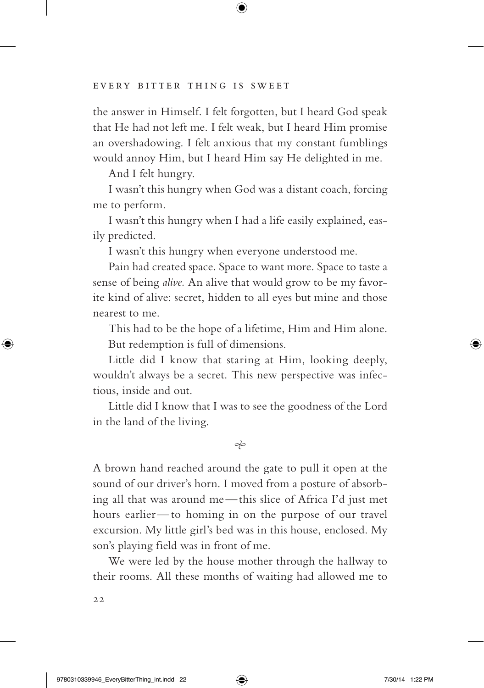the answer in Himself. I felt forgotten, but I heard God speak that He had not left me. I felt weak, but I heard Him promise an overshadowing. I felt anxious that my constant fumblings would annoy Him, but I heard Him say He delighted in me.

And I felt hungry.

I wasn't this hungry when God was a distant coach, forcing me to perform.

I wasn't this hungry when I had a life easily explained, easily predicted.

I wasn't this hungry when everyone understood me.

Pain had created space. Space to want more. Space to taste a sense of being *alive.* An alive that would grow to be my favorite kind of alive: secret, hidden to all eyes but mine and those nearest to me.

This had to be the hope of a lifetime, Him and Him alone. But redemption is full of dimensions.

Little did I know that staring at Him, looking deeply, wouldn't always be a secret. This new perspective was infectious, inside and out.

Little did I know that I was to see the goodness of the Lord in the land of the living.

∻

A brown hand reached around the gate to pull it open at the sound of our driver's horn. I moved from a posture of absorbing all that was around me— this slice of Africa I'd just met hours earlier— to homing in on the purpose of our travel excursion. My little girl's bed was in this house, enclosed. My son's playing field was in front of me.

We were led by the house mother through the hallway to their rooms. All these months of waiting had allowed me to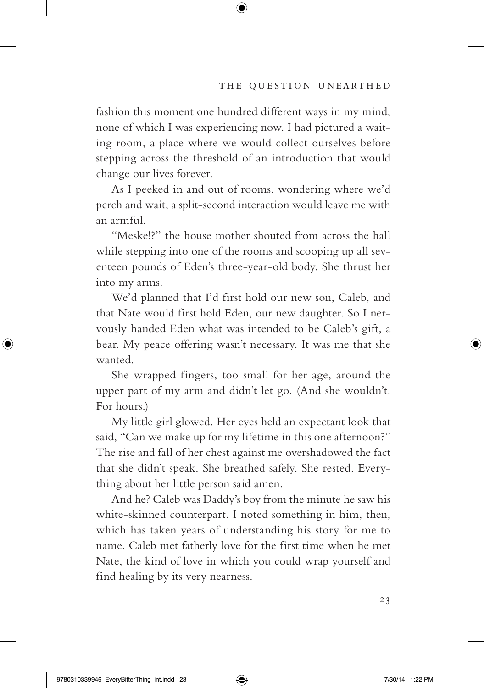fashion this moment one hundred different ways in my mind, none of which I was experiencing now. I had pictured a waiting room, a place where we would collect ourselves before stepping across the threshold of an introduction that would change our lives forever.

As I peeked in and out of rooms, wondering where we'd perch and wait, a split-second interaction would leave me with an armful.

"Meske!?" the house mother shouted from across the hall while stepping into one of the rooms and scooping up all seventeen pounds of Eden's three-year-old body. She thrust her into my arms.

We'd planned that I'd first hold our new son, Caleb, and that Nate would first hold Eden, our new daughter. So I nervously handed Eden what was intended to be Caleb's gift, a bear. My peace offering wasn't necessary. It was me that she wanted.

She wrapped fingers, too small for her age, around the upper part of my arm and didn't let go. (And she wouldn't. For hours.)

My little girl glowed. Her eyes held an expectant look that said, "Can we make up for my lifetime in this one afternoon?" The rise and fall of her chest against me overshadowed the fact that she didn't speak. She breathed safely. She rested. Everything about her little person said amen.

And he? Caleb was Daddy's boy from the minute he saw his white-skinned counterpart. I noted something in him, then, which has taken years of understanding his story for me to name. Caleb met fatherly love for the first time when he met Nate, the kind of love in which you could wrap yourself and find healing by its very nearness.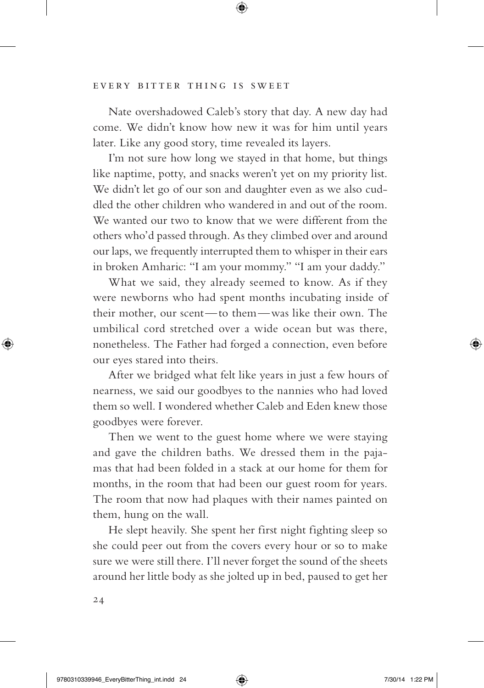Nate overshadowed Caleb's story that day. A new day had come. We didn't know how new it was for him until years later. Like any good story, time revealed its layers.

I'm not sure how long we stayed in that home, but things like naptime, potty, and snacks weren't yet on my priority list. We didn't let go of our son and daughter even as we also cuddled the other children who wandered in and out of the room. We wanted our two to know that we were different from the others who'd passed through. As they climbed over and around our laps, we frequently interrupted them to whisper in their ears in broken Amharic: "I am your mommy." "I am your daddy."

What we said, they already seemed to know. As if they were newborns who had spent months incubating inside of their mother, our scent— to them— was like their own. The umbilical cord stretched over a wide ocean but was there, nonetheless. The Father had forged a connection, even before our eyes stared into theirs.

After we bridged what felt like years in just a few hours of nearness, we said our goodbyes to the nannies who had loved them so well. I wondered whether Caleb and Eden knew those goodbyes were forever.

Then we went to the guest home where we were staying and gave the children baths. We dressed them in the pajamas that had been folded in a stack at our home for them for months, in the room that had been our guest room for years. The room that now had plaques with their names painted on them, hung on the wall.

He slept heavily. She spent her first night fighting sleep so she could peer out from the covers every hour or so to make sure we were still there. I'll never forget the sound of the sheets around her little body as she jolted up in bed, paused to get her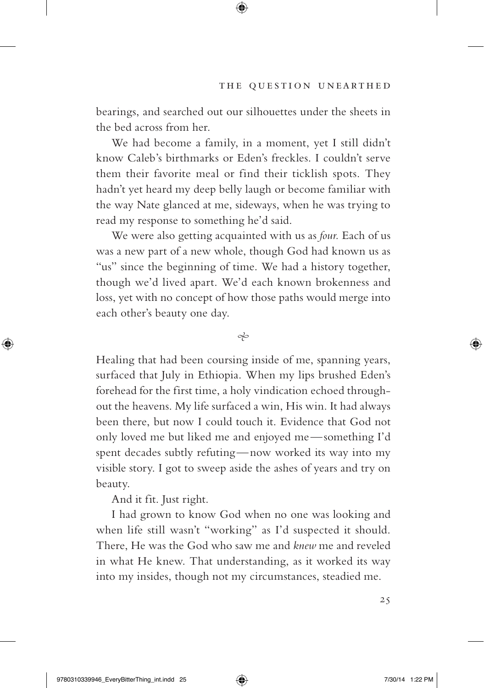bearings, and searched out our silhouettes under the sheets in the bed across from her.

We had become a family, in a moment, yet I still didn't know Caleb's birthmarks or Eden's freckles. I couldn't serve them their favorite meal or find their ticklish spots. They hadn't yet heard my deep belly laugh or become familiar with the way Nate glanced at me, sideways, when he was trying to read my response to something he'd said.

We were also getting acquainted with us as *four.* Each of us was a new part of a new whole, though God had known us as "us" since the beginning of time. We had a history together, though we'd lived apart. We'd each known brokenness and loss, yet with no concept of how those paths would merge into each other's beauty one day.

#### ∻

Healing that had been coursing inside of me, spanning years, surfaced that July in Ethiopia. When my lips brushed Eden's forehead for the first time, a holy vindication echoed throughout the heavens. My life surfaced a win, His win. It had always been there, but now I could touch it. Evidence that God not only loved me but liked me and enjoyed me— something I'd spent decades subtly refuting— now worked its way into my visible story. I got to sweep aside the ashes of years and try on beauty.

And it fit. Just right.

I had grown to know God when no one was looking and when life still wasn't "working" as I'd suspected it should. There, He was the God who saw me and *knew* me and reveled in what He knew. That understanding, as it worked its way into my insides, though not my circumstances, steadied me.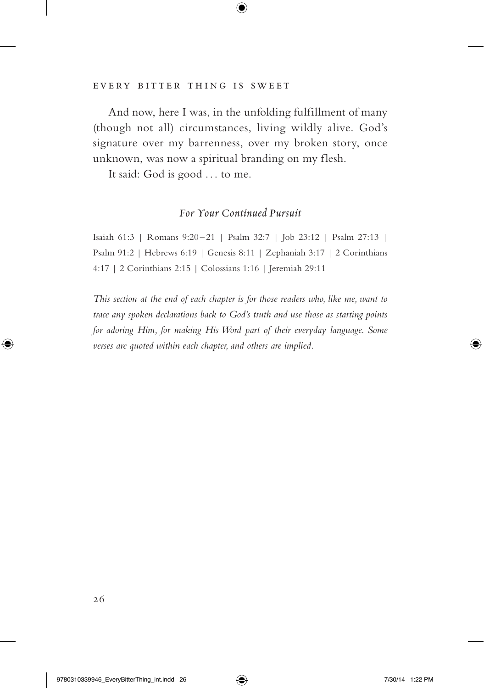And now, here I was, in the unfolding fulfillment of many (though not all) circumstances, living wildly alive. God's signature over my barrenness, over my broken story, once unknown, was now a spiritual branding on my flesh.

It said: God is good ... to me.

### *For Your Continued Pursuit*

Isaiah 61:3 | Romans 9:20 – 21 | Psalm 32:7 | Job 23:12 | Psalm 27:13 | Psalm 91:2 | Hebrews 6:19 | Genesis 8:11 | Zephaniah 3:17 | 2 Corinthians 4:17 | 2 Corinthians 2:15 | Colossians 1:16 | Jeremiah 29:11

*This section at the end of each chapter is for those readers who, like me, want to trace any spoken declarations back to God's truth and use those as starting points for adoring Him, for making His Word part of their everyday language. Some verses are quoted within each chapter, and others are implied.*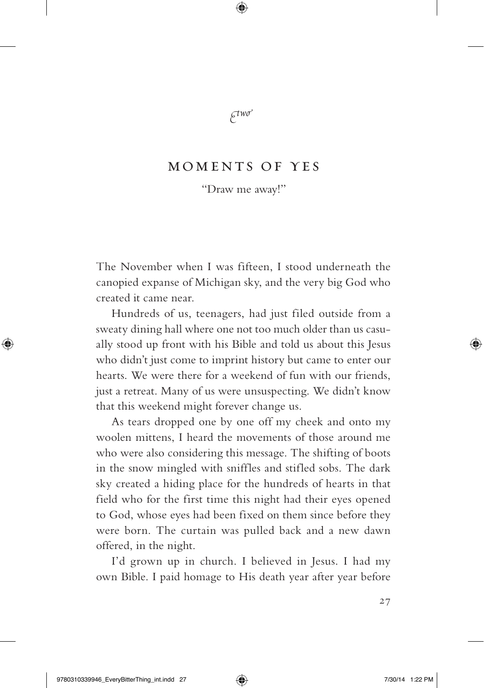*two*

### moments of yes

"Draw me away!"

The November when I was fifteen, I stood underneath the canopied expanse of Michigan sky, and the very big God who created it came near.

Hundreds of us, teenagers, had just filed outside from a sweaty dining hall where one not too much older than us casually stood up front with his Bible and told us about this Jesus who didn't just come to imprint history but came to enter our hearts. We were there for a weekend of fun with our friends, just a retreat. Many of us were unsuspecting. We didn't know that this weekend might forever change us.

As tears dropped one by one off my cheek and onto my woolen mittens, I heard the movements of those around me who were also considering this message. The shifting of boots in the snow mingled with sniffles and stifled sobs. The dark sky created a hiding place for the hundreds of hearts in that field who for the first time this night had their eyes opened to God, whose eyes had been fixed on them since before they were born. The curtain was pulled back and a new dawn offered, in the night.

I'd grown up in church. I believed in Jesus. I had my own Bible. I paid homage to His death year after year before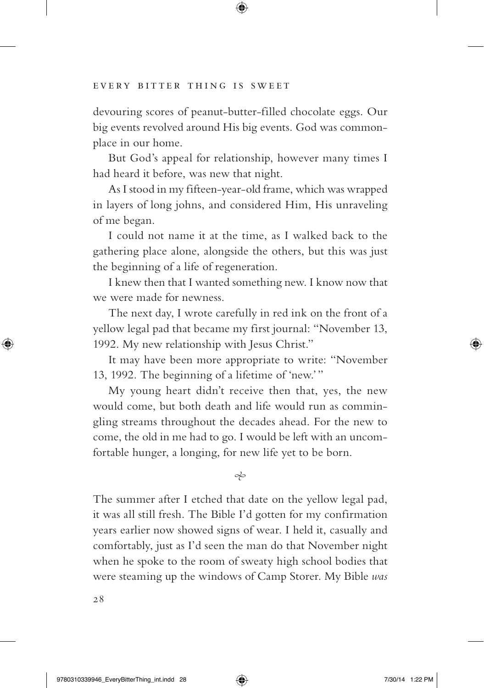devouring scores of peanut-butter-filled chocolate eggs. Our big events revolved around His big events. God was commonplace in our home.

But God's appeal for relationship, however many times I had heard it before, was new that night.

As I stood in my fifteen-year-old frame, which was wrapped in layers of long johns, and considered Him, His unraveling of me began.

I could not name it at the time, as I walked back to the gathering place alone, alongside the others, but this was just the beginning of a life of regeneration.

I knew then that I wanted something new. I know now that we were made for newness.

The next day, I wrote carefully in red ink on the front of a yellow legal pad that became my first journal: "November 13, 1992. My new relationship with Jesus Christ."

It may have been more appropriate to write: "November 13, 1992. The beginning of a lifetime of 'new.' "

My young heart didn't receive then that, yes, the new would come, but both death and life would run as commingling streams throughout the decades ahead. For the new to come, the old in me had to go. I would be left with an uncomfortable hunger, a longing, for new life yet to be born.

☆

The summer after I etched that date on the yellow legal pad, it was all still fresh. The Bible I'd gotten for my confirmation years earlier now showed signs of wear. I held it, casually and comfortably, just as I'd seen the man do that November night when he spoke to the room of sweaty high school bodies that were steaming up the windows of Camp Storer. My Bible *was*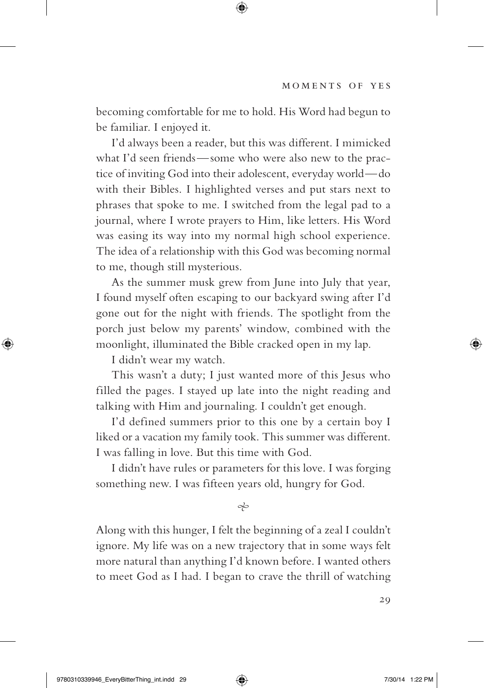becoming comfortable for me to hold. His Word had begun to be familiar. I enjoyed it.

I'd always been a reader, but this was different. I mimicked what I'd seen friends— some who were also new to the practice of inviting God into their adolescent, everyday world— do with their Bibles. I highlighted verses and put stars next to phrases that spoke to me. I switched from the legal pad to a journal, where I wrote prayers to Him, like letters. His Word was easing its way into my normal high school experience. The idea of a relationship with this God was becoming normal to me, though still mysterious.

As the summer musk grew from June into July that year, I found myself often escaping to our backyard swing after I'd gone out for the night with friends. The spotlight from the porch just below my parents' window, combined with the moonlight, illuminated the Bible cracked open in my lap.

I didn't wear my watch.

This wasn't a duty; I just wanted more of this Jesus who filled the pages. I stayed up late into the night reading and talking with Him and journaling. I couldn't get enough.

I'd defined summers prior to this one by a certain boy I liked or a vacation my family took. This summer was different. I was falling in love. But this time with God.

I didn't have rules or parameters for this love. I was forging something new. I was fifteen years old, hungry for God.

 $\approx$ 

Along with this hunger, I felt the beginning of a zeal I couldn't ignore. My life was on a new trajectory that in some ways felt more natural than anything I'd known before. I wanted others to meet God as I had. I began to crave the thrill of watching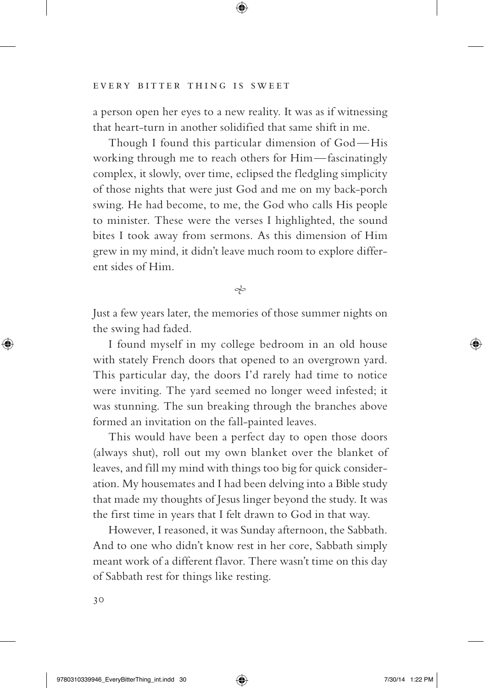a person open her eyes to a new reality. It was as if witnessing that heart-turn in another solidified that same shift in me.

Though I found this particular dimension of God— His working through me to reach others for Him— fascinatingly complex, it slowly, over time, eclipsed the fledgling simplicity of those nights that were just God and me on my back-porch swing. He had become, to me, the God who calls His people to minister. These were the verses I highlighted, the sound bites I took away from sermons. As this dimension of Him grew in my mind, it didn't leave much room to explore different sides of Him.

∻

Just a few years later, the memories of those summer nights on the swing had faded.

I found myself in my college bedroom in an old house with stately French doors that opened to an overgrown yard. This particular day, the doors I'd rarely had time to notice were inviting. The yard seemed no longer weed infested; it was stunning. The sun breaking through the branches above formed an invitation on the fall-painted leaves.

This would have been a perfect day to open those doors (always shut), roll out my own blanket over the blanket of leaves, and fill my mind with things too big for quick consideration. My housemates and I had been delving into a Bible study that made my thoughts of Jesus linger beyond the study. It was the first time in years that I felt drawn to God in that way.

However, I reasoned, it was Sunday afternoon, the Sabbath. And to one who didn't know rest in her core, Sabbath simply meant work of a different flavor. There wasn't time on this day of Sabbath rest for things like resting.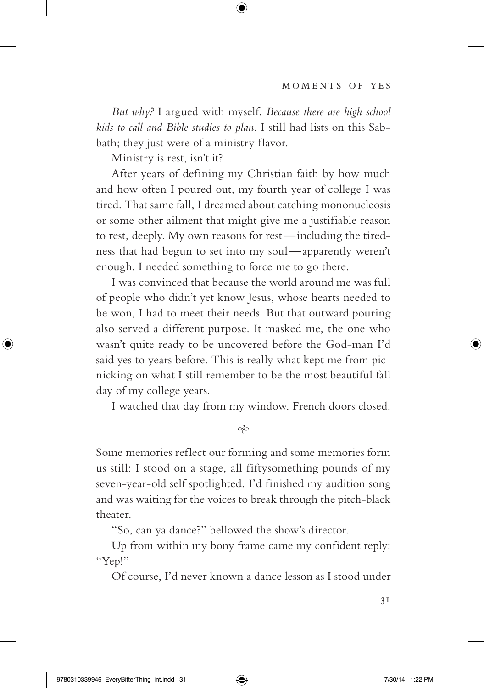*But why?* I argued with myself. *Because there are high school kids to call and Bible studies to plan*. I still had lists on this Sabbath; they just were of a ministry flavor.

Ministry is rest, isn't it?

After years of defining my Christian faith by how much and how often I poured out, my fourth year of college I was tired. That same fall, I dreamed about catching mononucleosis or some other ailment that might give me a justifiable reason to rest, deeply. My own reasons for rest— including the tiredness that had begun to set into my soul— apparently weren't enough. I needed something to force me to go there.

I was convinced that because the world around me was full of people who didn't yet know Jesus, whose hearts needed to be won, I had to meet their needs. But that outward pouring also served a different purpose. It masked me, the one who wasn't quite ready to be uncovered before the God-man I'd said yes to years before. This is really what kept me from picnicking on what I still remember to be the most beautiful fall day of my college years.

I watched that day from my window. French doors closed.

☆

Some memories reflect our forming and some memories form us still: I stood on a stage, all fiftysomething pounds of my seven-year-old self spotlighted. I'd finished my audition song and was waiting for the voices to break through the pitch-black theater.

"So, can ya dance?" bellowed the show's director.

Up from within my bony frame came my confident reply: "Yep!"

Of course, I'd never known a dance lesson as I stood under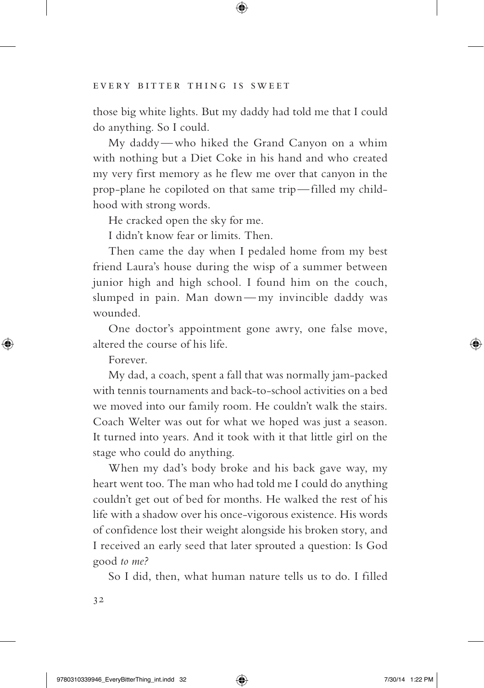those big white lights. But my daddy had told me that I could do anything. So I could.

My daddy— who hiked the Grand Canyon on a whim with nothing but a Diet Coke in his hand and who created my very first memory as he flew me over that canyon in the prop-plane he copiloted on that same trip— filled my childhood with strong words.

He cracked open the sky for me.

I didn't know fear or limits. Then.

Then came the day when I pedaled home from my best friend Laura's house during the wisp of a summer between junior high and high school. I found him on the couch, slumped in pain. Man down— my invincible daddy was wounded.

One doctor's appointment gone awry, one false move, altered the course of his life.

Forever.

My dad, a coach, spent a fall that was normally jam-packed with tennis tournaments and back-to-school activities on a bed we moved into our family room. He couldn't walk the stairs. Coach Welter was out for what we hoped was just a season. It turned into years. And it took with it that little girl on the stage who could do anything.

When my dad's body broke and his back gave way, my heart went too. The man who had told me I could do anything couldn't get out of bed for months. He walked the rest of his life with a shadow over his once-vigorous existence. His words of confidence lost their weight alongside his broken story, and I received an early seed that later sprouted a question: Is God good *to me?*

So I did, then, what human nature tells us to do. I filled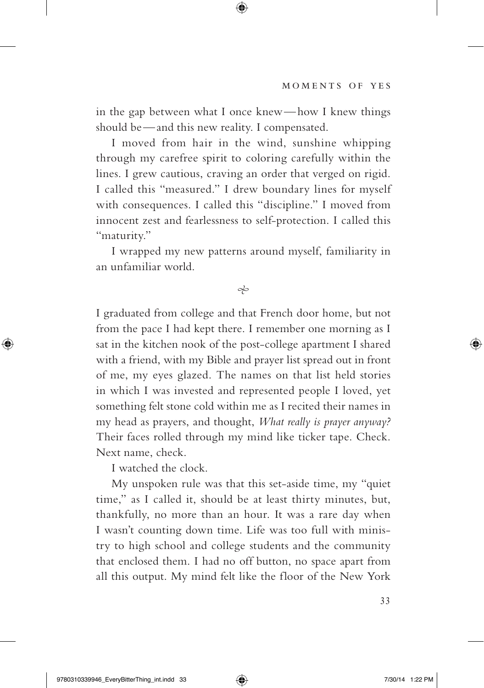in the gap between what I once knew— how I knew things should be— and this new reality. I compensated.

I moved from hair in the wind, sunshine whipping through my carefree spirit to coloring carefully within the lines. I grew cautious, craving an order that verged on rigid. I called this "measured." I drew boundary lines for myself with consequences. I called this "discipline." I moved from innocent zest and fearlessness to self-protection. I called this "maturity."

I wrapped my new patterns around myself, familiarity in an unfamiliar world.

### ☆

I graduated from college and that French door home, but not from the pace I had kept there. I remember one morning as I sat in the kitchen nook of the post-college apartment I shared with a friend, with my Bible and prayer list spread out in front of me, my eyes glazed. The names on that list held stories in which I was invested and represented people I loved, yet something felt stone cold within me as I recited their names in my head as prayers, and thought, *What really is prayer anyway?* Their faces rolled through my mind like ticker tape. Check. Next name, check.

I watched the clock.

My unspoken rule was that this set-aside time, my "quiet time," as I called it, should be at least thirty minutes, but, thankfully, no more than an hour. It was a rare day when I wasn't counting down time. Life was too full with ministry to high school and college students and the community that enclosed them. I had no off button, no space apart from all this output. My mind felt like the floor of the New York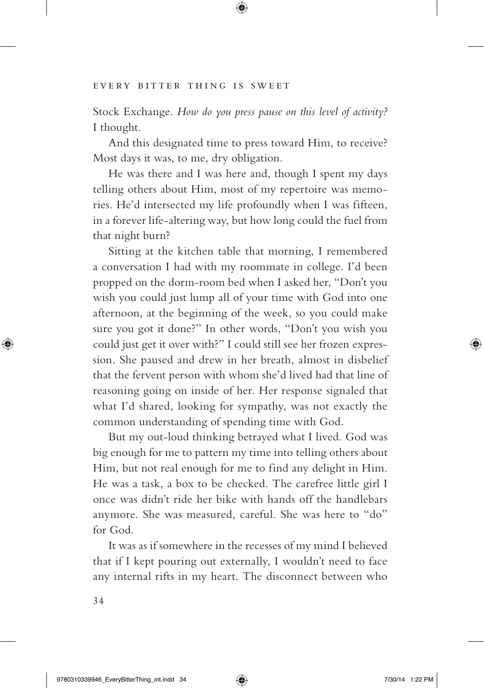Stock Exchange. *How do you press pause on this level of activity?* I thought.

And this designated time to press toward Him, to receive? Most days it was, to me, dry obligation.

He was there and I was here and, though I spent my days telling others about Him, most of my repertoire was memories. He'd intersected my life profoundly when I was fifteen, in a forever life-altering way, but how long could the fuel from that night burn?

Sitting at the kitchen table that morning, I remembered a conversation I had with my roommate in college. I'd been propped on the dorm-room bed when I asked her, "Don't you wish you could just lump all of your time with God into one afternoon, at the beginning of the week, so you could make sure you got it done?" In other words, "Don't you wish you could just get it over with?" I could still see her frozen expression. She paused and drew in her breath, almost in disbelief that the fervent person with whom she'd lived had that line of reasoning going on inside of her. Her response signaled that what I'd shared, looking for sympathy, was not exactly the common understanding of spending time with God.

But my out-loud thinking betrayed what I lived. God was big enough for me to pattern my time into telling others about Him, but not real enough for me to find any delight in Him. He was a task, a box to be checked. The carefree little girl I once was didn't ride her bike with hands off the handlebars anymore. She was measured, careful. She was here to "do" for God.

It was as if somewhere in the recesses of my mind I believed that if I kept pouring out externally, I wouldn't need to face any internal rifts in my heart. The disconnect between who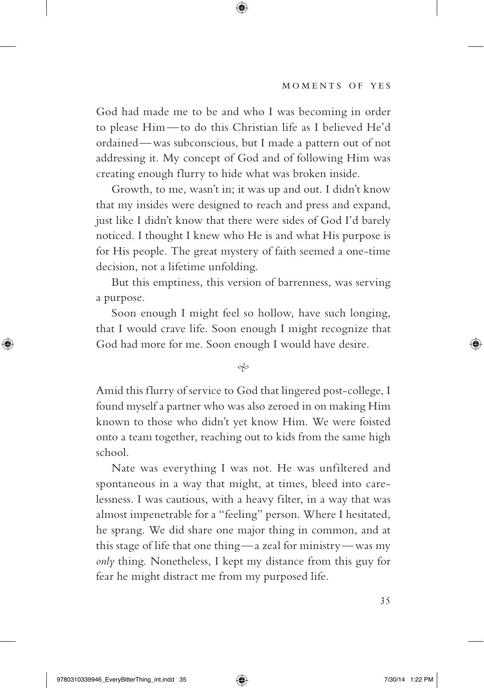God had made me to be and who I was becoming in order to please Him— to do this Christian life as I believed He'd ordained— was subconscious, but I made a pattern out of not addressing it. My concept of God and of following Him was creating enough flurry to hide what was broken inside.

Growth, to me, wasn't in; it was up and out. I didn't know that my insides were designed to reach and press and expand, just like I didn't know that there were sides of God I'd barely noticed. I thought I knew who He is and what His purpose is for His people. The great mystery of faith seemed a one-time decision, not a lifetime unfolding.

But this emptiness, this version of barrenness, was serving a purpose.

Soon enough I might feel so hollow, have such longing, that I would crave life. Soon enough I might recognize that God had more for me. Soon enough I would have desire.

### $\approx$

Amid this flurry of service to God that lingered post-college, I found myself a partner who was also zeroed in on making Him known to those who didn't yet know Him. We were foisted onto a team together, reaching out to kids from the same high school.

Nate was everything I was not. He was unfiltered and spontaneous in a way that might, at times, bleed into carelessness. I was cautious, with a heavy filter, in a way that was almost impenetrable for a "feeling" person. Where I hesitated, he sprang. We did share one major thing in common, and at this stage of life that one thing— a zeal for ministry— was my *only* thing. Nonetheless, I kept my distance from this guy for fear he might distract me from my purposed life.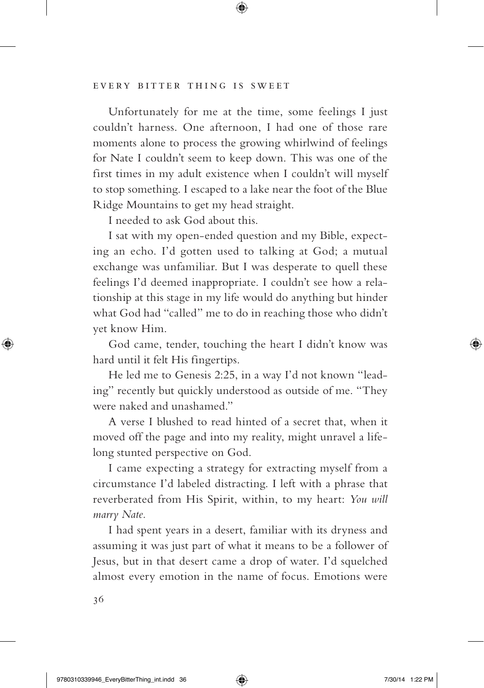Unfortunately for me at the time, some feelings I just couldn't harness. One afternoon, I had one of those rare moments alone to process the growing whirlwind of feelings for Nate I couldn't seem to keep down. This was one of the first times in my adult existence when I couldn't will myself to stop something. I escaped to a lake near the foot of the Blue Ridge Mountains to get my head straight.

I needed to ask God about this.

I sat with my open-ended question and my Bible, expecting an echo. I'd gotten used to talking at God; a mutual exchange was unfamiliar. But I was desperate to quell these feelings I'd deemed inappropriate. I couldn't see how a relationship at this stage in my life would do anything but hinder what God had "called" me to do in reaching those who didn't yet know Him.

God came, tender, touching the heart I didn't know was hard until it felt His fingertips.

He led me to Genesis 2:25, in a way I'd not known "leading" recently but quickly understood as outside of me. "They were naked and unashamed."

A verse I blushed to read hinted of a secret that, when it moved off the page and into my reality, might unravel a lifelong stunted perspective on God.

I came expecting a strategy for extracting myself from a circumstance I'd labeled distracting. I left with a phrase that reverberated from His Spirit, within, to my heart: *You will marry Nate.*

I had spent years in a desert, familiar with its dryness and assuming it was just part of what it means to be a follower of Jesus, but in that desert came a drop of water. I'd squelched almost every emotion in the name of focus. Emotions were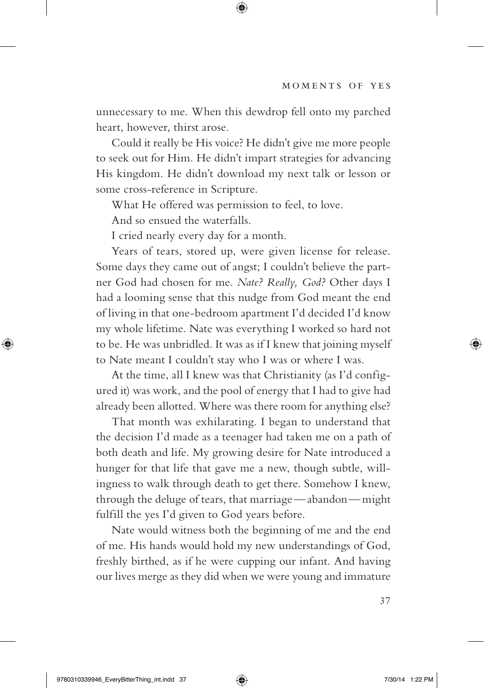unnecessary to me. When this dewdrop fell onto my parched heart, however, thirst arose.

Could it really be His voice? He didn't give me more people to seek out for Him. He didn't impart strategies for advancing His kingdom. He didn't download my next talk or lesson or some cross-reference in Scripture.

What He offered was permission to feel, to love.

And so ensued the waterfalls.

I cried nearly every day for a month.

Years of tears, stored up, were given license for release. Some days they came out of angst; I couldn't believe the partner God had chosen for me. *Nate? Really, God?* Other days I had a looming sense that this nudge from God meant the end of living in that one-bedroom apartment I'd decided I'd know my whole lifetime. Nate was everything I worked so hard not to be. He was unbridled. It was as if I knew that joining myself to Nate meant I couldn't stay who I was or where I was.

At the time, all I knew was that Christianity (as I'd configured it) was work, and the pool of energy that I had to give had already been allotted. Where was there room for anything else?

That month was exhilarating. I began to understand that the decision I'd made as a teenager had taken me on a path of both death and life. My growing desire for Nate introduced a hunger for that life that gave me a new, though subtle, willingness to walk through death to get there. Somehow I knew, through the deluge of tears, that marriage— abandon— might fulfill the yes I'd given to God years before.

Nate would witness both the beginning of me and the end of me. His hands would hold my new understandings of God, freshly birthed, as if he were cupping our infant. And having our lives merge as they did when we were young and immature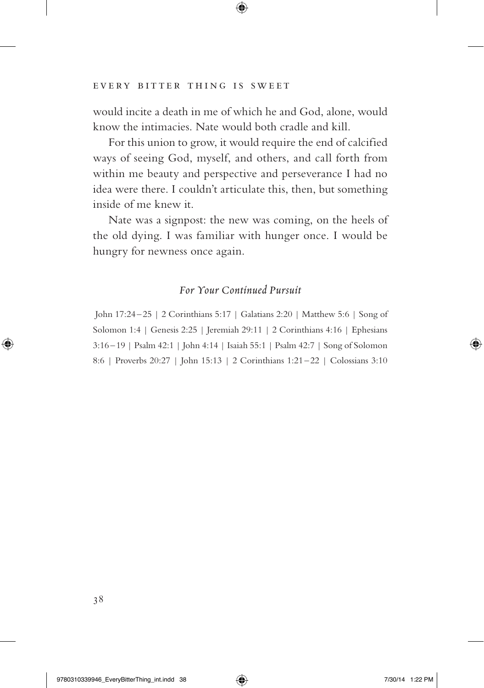would incite a death in me of which he and God, alone, would know the intimacies. Nate would both cradle and kill.

For this union to grow, it would require the end of calcified ways of seeing God, myself, and others, and call forth from within me beauty and perspective and perseverance I had no idea were there. I couldn't articulate this, then, but something inside of me knew it.

Nate was a signpost: the new was coming, on the heels of the old dying. I was familiar with hunger once. I would be hungry for newness once again.

### *For Your Continued Pursuit*

 John 17:24 – 25 | 2 Corinthians 5:17 | Galatians 2:20 | Matthew 5:6 | Song of Solomon 1:4 | Genesis 2:25 | Jeremiah 29:11 | 2 Corinthians 4:16 | Ephesians 3:16 – 19 | Psalm 42:1 | John 4:14 | Isaiah 55:1 | Psalm 42:7 | Song of Solomon 8:6 | Proverbs 20:27 | John 15:13 | 2 Corinthians 1:21 – 22 | Colossians 3:10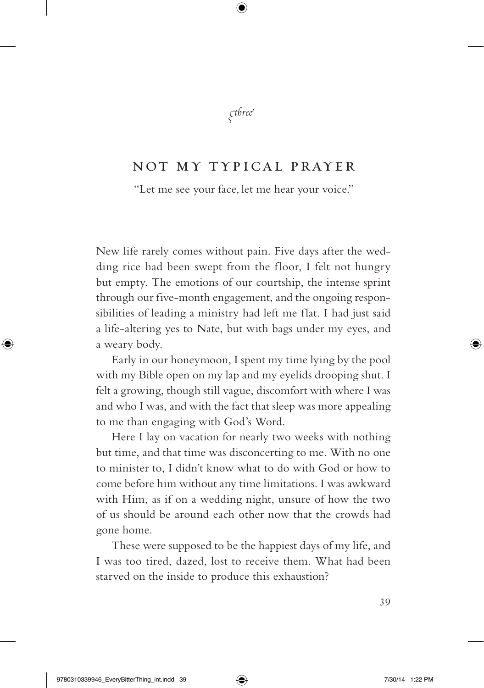*three*

## not my typical prayer

"Let me see your face, let me hear your voice."

New life rarely comes without pain. Five days after the wedding rice had been swept from the floor, I felt not hungry but empty. The emotions of our courtship, the intense sprint through our five-month engagement, and the ongoing responsibilities of leading a ministry had left me flat. I had just said a life-altering yes to Nate, but with bags under my eyes, and a weary body.

Early in our honeymoon, I spent my time lying by the pool with my Bible open on my lap and my eyelids drooping shut. I felt a growing, though still vague, discomfort with where I was and who I was, and with the fact that sleep was more appealing to me than engaging with God's Word.

Here I lay on vacation for nearly two weeks with nothing but time, and that time was disconcerting to me. With no one to minister to, I didn't know what to do with God or how to come before him without any time limitations. I was awkward with Him, as if on a wedding night, unsure of how the two of us should be around each other now that the crowds had gone home.

These were supposed to be the happiest days of my life, and I was too tired, dazed, lost to receive them. What had been starved on the inside to produce this exhaustion?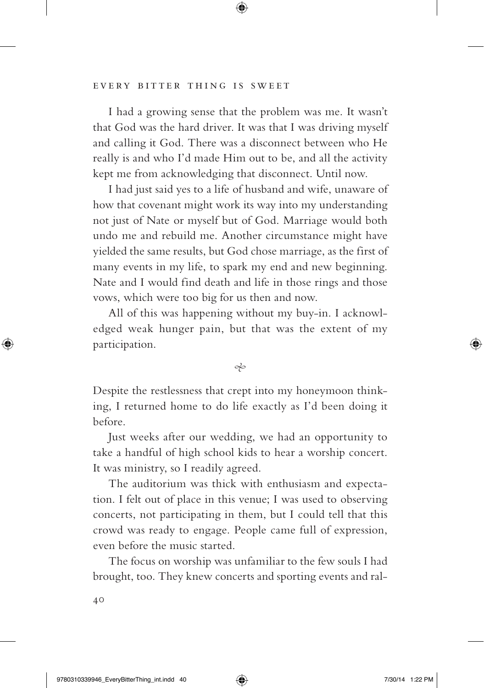I had a growing sense that the problem was me. It wasn't that God was the hard driver. It was that I was driving myself and calling it God. There was a disconnect between who He really is and who I'd made Him out to be, and all the activity kept me from acknowledging that disconnect. Until now.

I had just said yes to a life of husband and wife, unaware of how that covenant might work its way into my understanding not just of Nate or myself but of God. Marriage would both undo me and rebuild me. Another circumstance might have yielded the same results, but God chose marriage, as the first of many events in my life, to spark my end and new beginning. Nate and I would find death and life in those rings and those vows, which were too big for us then and now.

All of this was happening without my buy-in. I acknowledged weak hunger pain, but that was the extent of my participation.

☆

Despite the restlessness that crept into my honeymoon thinking, I returned home to do life exactly as I'd been doing it before.

Just weeks after our wedding, we had an opportunity to take a handful of high school kids to hear a worship concert. It was ministry, so I readily agreed.

The auditorium was thick with enthusiasm and expectation. I felt out of place in this venue; I was used to observing concerts, not participating in them, but I could tell that this crowd was ready to engage. People came full of expression, even before the music started.

The focus on worship was unfamiliar to the few souls I had brought, too. They knew concerts and sporting events and ral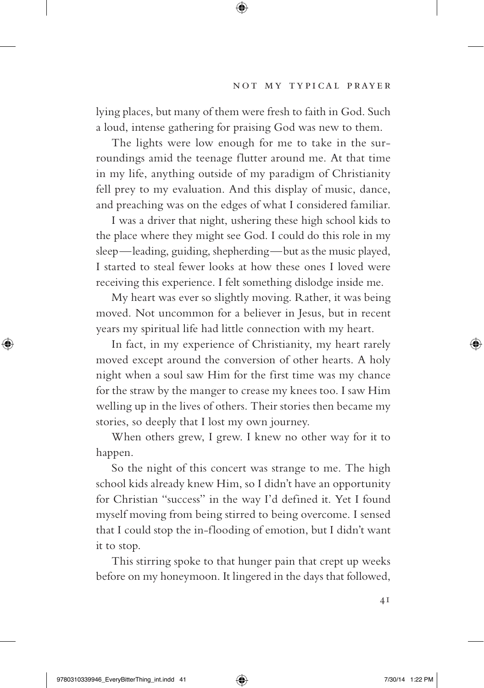lying places, but many of them were fresh to faith in God. Such a loud, intense gathering for praising God was new to them.

The lights were low enough for me to take in the surroundings amid the teenage flutter around me. At that time in my life, anything outside of my paradigm of Christianity fell prey to my evaluation. And this display of music, dance, and preaching was on the edges of what I considered familiar.

I was a driver that night, ushering these high school kids to the place where they might see God. I could do this role in my sleep— leading, guiding, shepherding— but as the music played, I started to steal fewer looks at how these ones I loved were receiving this experience. I felt something dislodge inside me.

My heart was ever so slightly moving. Rather, it was being moved. Not uncommon for a believer in Jesus, but in recent years my spiritual life had little connection with my heart.

In fact, in my experience of Christianity, my heart rarely moved except around the conversion of other hearts. A holy night when a soul saw Him for the first time was my chance for the straw by the manger to crease my knees too. I saw Him welling up in the lives of others. Their stories then became my stories, so deeply that I lost my own journey.

When others grew, I grew. I knew no other way for it to happen.

So the night of this concert was strange to me. The high school kids already knew Him, so I didn't have an opportunity for Christian "success" in the way I'd defined it. Yet I found myself moving from being stirred to being overcome. I sensed that I could stop the in-flooding of emotion, but I didn't want it to stop.

This stirring spoke to that hunger pain that crept up weeks before on my honeymoon. It lingered in the days that followed,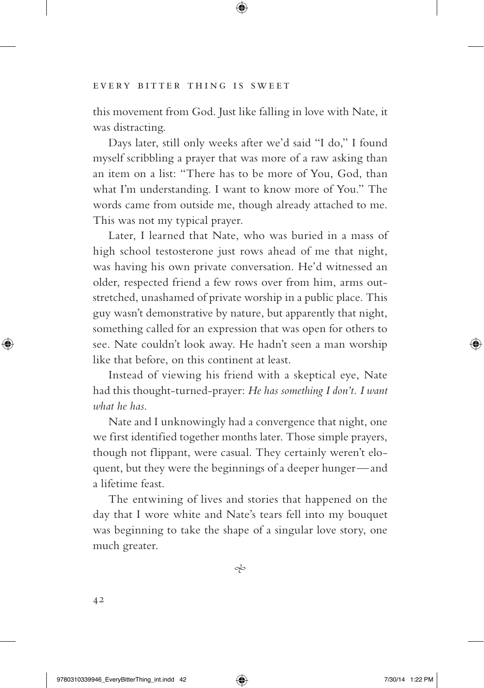this movement from God. Just like falling in love with Nate, it was distracting.

Days later, still only weeks after we'd said "I do," I found myself scribbling a prayer that was more of a raw asking than an item on a list: "There has to be more of You, God, than what I'm understanding. I want to know more of You." The words came from outside me, though already attached to me. This was not my typical prayer.

Later, I learned that Nate, who was buried in a mass of high school testosterone just rows ahead of me that night, was having his own private conversation. He'd witnessed an older, respected friend a few rows over from him, arms outstretched, unashamed of private worship in a public place. This guy wasn't demonstrative by nature, but apparently that night, something called for an expression that was open for others to see. Nate couldn't look away. He hadn't seen a man worship like that before, on this continent at least.

Instead of viewing his friend with a skeptical eye, Nate had this thought-turned-prayer: *He has something I don't. I want what he has.*

Nate and I unknowingly had a convergence that night, one we first identified together months later. Those simple prayers, though not flippant, were casual. They certainly weren't eloquent, but they were the beginnings of a deeper hunger— and a lifetime feast.

The entwining of lives and stories that happened on the day that I wore white and Nate's tears fell into my bouquet was beginning to take the shape of a singular love story, one much greater.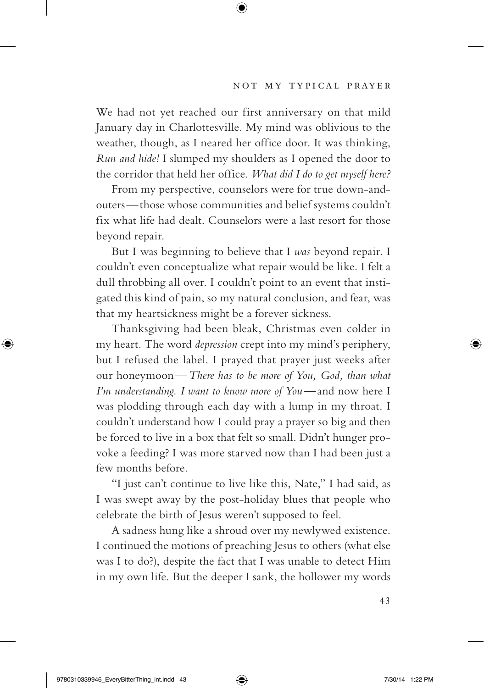We had not yet reached our first anniversary on that mild January day in Charlottesville. My mind was oblivious to the weather, though, as I neared her office door. It was thinking, *Run and hide!* I slumped my shoulders as I opened the door to the corridor that held her office. *What did I do to get myself here?*

From my perspective, counselors were for true down-andouters— those whose communities and belief systems couldn't fix what life had dealt. Counselors were a last resort for those beyond repair.

But I was beginning to believe that I *was* beyond repair. I couldn't even conceptualize what repair would be like. I felt a dull throbbing all over. I couldn't point to an event that instigated this kind of pain, so my natural conclusion, and fear, was that my heartsickness might be a forever sickness.

Thanksgiving had been bleak, Christmas even colder in my heart. The word *depression* crept into my mind's periphery, but I refused the label. I prayed that prayer just weeks after our honeymoon— *There has to be more of You, God, than what I'm understanding. I want to know more of You—* and now here I was plodding through each day with a lump in my throat. I couldn't understand how I could pray a prayer so big and then be forced to live in a box that felt so small. Didn't hunger provoke a feeding? I was more starved now than I had been just a few months before.

"I just can't continue to live like this, Nate," I had said, as I was swept away by the post-holiday blues that people who celebrate the birth of Jesus weren't supposed to feel.

A sadness hung like a shroud over my newlywed existence. I continued the motions of preaching Jesus to others (what else was I to do?), despite the fact that I was unable to detect Him in my own life. But the deeper I sank, the hollower my words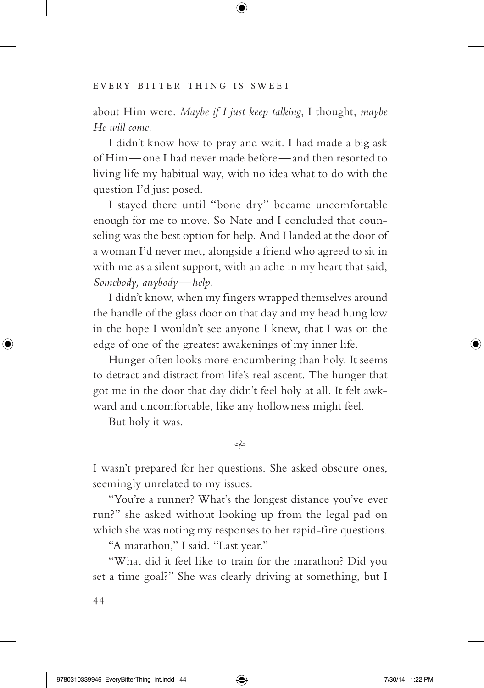about Him were. *Maybe if I just keep talking*, I thought, *maybe He will come.*

I didn't know how to pray and wait. I had made a big ask of Him— one I had never made before— and then resorted to living life my habitual way, with no idea what to do with the question I'd just posed.

I stayed there until "bone dry" became uncomfortable enough for me to move. So Nate and I concluded that counseling was the best option for help. And I landed at the door of a woman I'd never met, alongside a friend who agreed to sit in with me as a silent support, with an ache in my heart that said, *Somebody, anybody— help.*

I didn't know, when my fingers wrapped themselves around the handle of the glass door on that day and my head hung low in the hope I wouldn't see anyone I knew, that I was on the edge of one of the greatest awakenings of my inner life.

Hunger often looks more encumbering than holy. It seems to detract and distract from life's real ascent. The hunger that got me in the door that day didn't feel holy at all. It felt awkward and uncomfortable, like any hollowness might feel.

But holy it was.

∻

I wasn't prepared for her questions. She asked obscure ones, seemingly unrelated to my issues.

"You're a runner? What's the longest distance you've ever run?" she asked without looking up from the legal pad on which she was noting my responses to her rapid-fire questions.

"A marathon," I said. "Last year."

"What did it feel like to train for the marathon? Did you set a time goal?" She was clearly driving at something, but I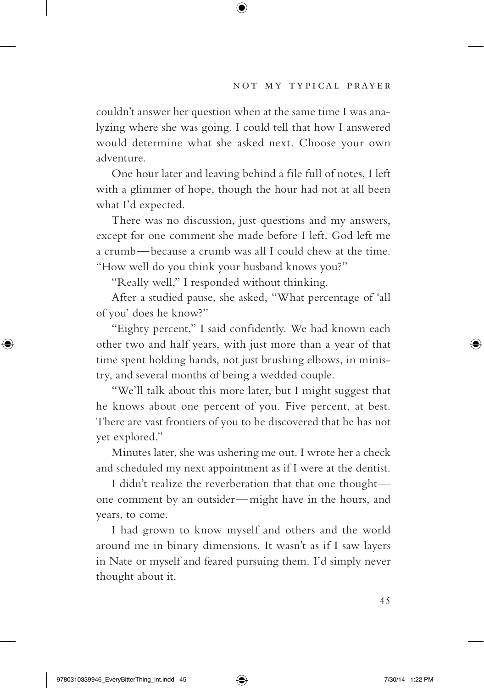couldn't answer her question when at the same time I was analyzing where she was going. I could tell that how I answered would determine what she asked next. Choose your own adventure.

One hour later and leaving behind a file full of notes, I left with a glimmer of hope, though the hour had not at all been what I'd expected.

There was no discussion, just questions and my answers, except for one comment she made before I left. God left me a crumb— because a crumb was all I could chew at the time. "How well do you think your husband knows you?"

"Really well," I responded without thinking.

After a studied pause, she asked, "What percentage of 'all of you' does he know?"

"Eighty percent," I said confidently. We had known each other two and half years, with just more than a year of that time spent holding hands, not just brushing elbows, in ministry, and several months of being a wedded couple.

"We'll talk about this more later, but I might suggest that he knows about one percent of you. Five percent, at best. There are vast frontiers of you to be discovered that he has not yet explored."

Minutes later, she was ushering me out. I wrote her a check and scheduled my next appointment as if I were at the dentist.

I didn't realize the reverberation that that one thought one comment by an outsider— might have in the hours, and years, to come.

I had grown to know myself and others and the world around me in binary dimensions. It wasn't as if I saw layers in Nate or myself and feared pursuing them. I'd simply never thought about it.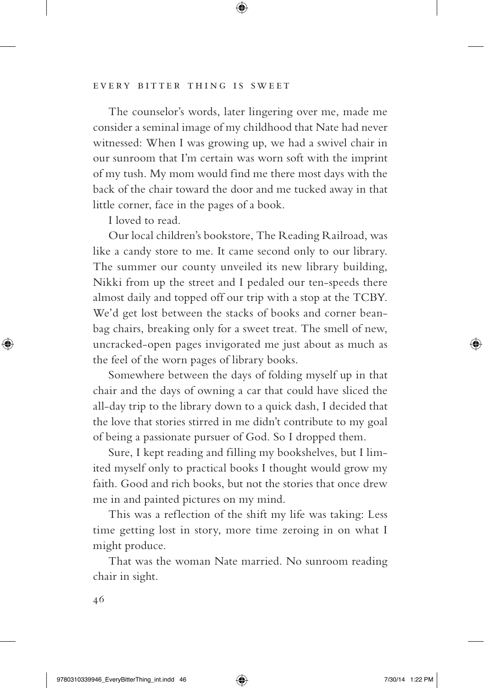#### every bitter thing is sweet

The counselor's words, later lingering over me, made me consider a seminal image of my childhood that Nate had never witnessed: When I was growing up, we had a swivel chair in our sunroom that I'm certain was worn soft with the imprint of my tush. My mom would find me there most days with the back of the chair toward the door and me tucked away in that little corner, face in the pages of a book.

I loved to read.

Our local children's bookstore, The Reading Railroad, was like a candy store to me. It came second only to our library. The summer our county unveiled its new library building, Nikki from up the street and I pedaled our ten-speeds there almost daily and topped off our trip with a stop at the TCBY. We'd get lost between the stacks of books and corner beanbag chairs, breaking only for a sweet treat. The smell of new, uncracked-open pages invigorated me just about as much as the feel of the worn pages of library books.

Somewhere between the days of folding myself up in that chair and the days of owning a car that could have sliced the all-day trip to the library down to a quick dash, I decided that the love that stories stirred in me didn't contribute to my goal of being a passionate pursuer of God. So I dropped them.

Sure, I kept reading and filling my bookshelves, but I limited myself only to practical books I thought would grow my faith. Good and rich books, but not the stories that once drew me in and painted pictures on my mind.

This was a reflection of the shift my life was taking: Less time getting lost in story, more time zeroing in on what I might produce.

That was the woman Nate married. No sunroom reading chair in sight.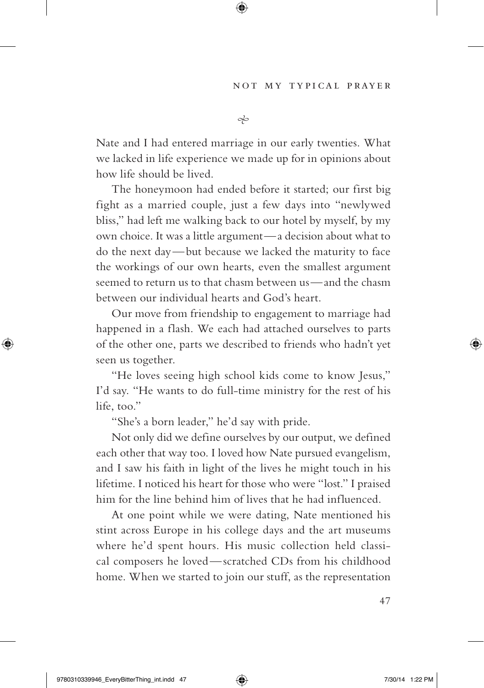�

Nate and I had entered marriage in our early twenties. What we lacked in life experience we made up for in opinions about how life should be lived.

The honeymoon had ended before it started; our first big fight as a married couple, just a few days into "newlywed bliss," had left me walking back to our hotel by myself, by my own choice. It was a little argument— a decision about what to do the next day— but because we lacked the maturity to face the workings of our own hearts, even the smallest argument seemed to return us to that chasm between us— and the chasm between our individual hearts and God's heart.

Our move from friendship to engagement to marriage had happened in a flash. We each had attached ourselves to parts of the other one, parts we described to friends who hadn't yet seen us together.

"He loves seeing high school kids come to know Jesus," I'd say. "He wants to do full-time ministry for the rest of his life, too."

"She's a born leader," he'd say with pride.

Not only did we define ourselves by our output, we defined each other that way too. I loved how Nate pursued evangelism, and I saw his faith in light of the lives he might touch in his lifetime. I noticed his heart for those who were "lost." I praised him for the line behind him of lives that he had influenced.

At one point while we were dating, Nate mentioned his stint across Europe in his college days and the art museums where he'd spent hours. His music collection held classical composers he loved— scratched CDs from his childhood home. When we started to join our stuff, as the representation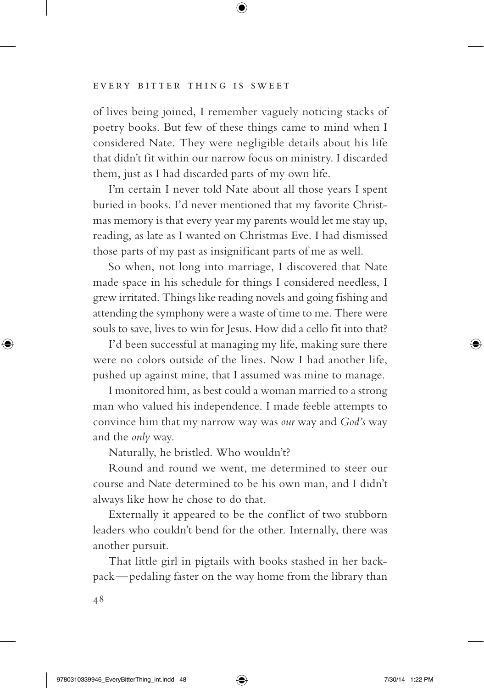of lives being joined, I remember vaguely noticing stacks of poetry books. But few of these things came to mind when I considered Nate. They were negligible details about his life that didn't fit within our narrow focus on ministry. I discarded them, just as I had discarded parts of my own life.

I'm certain I never told Nate about all those years I spent buried in books. I'd never mentioned that my favorite Christmas memory is that every year my parents would let me stay up, reading, as late as I wanted on Christmas Eve. I had dismissed those parts of my past as insignificant parts of me as well.

So when, not long into marriage, I discovered that Nate made space in his schedule for things I considered needless, I grew irritated. Things like reading novels and going fishing and attending the symphony were a waste of time to me. There were souls to save, lives to win for Jesus. How did a cello fit into that?

I'd been successful at managing my life, making sure there were no colors outside of the lines. Now I had another life, pushed up against mine, that I assumed was mine to manage.

I monitored him, as best could a woman married to a strong man who valued his independence. I made feeble attempts to convince him that my narrow way was *our* way and *God's* way and the *only* way.

Naturally, he bristled. Who wouldn't?

Round and round we went, me determined to steer our course and Nate determined to be his own man, and I didn't always like how he chose to do that.

Externally it appeared to be the conflict of two stubborn leaders who couldn't bend for the other. Internally, there was another pursuit.

That little girl in pigtails with books stashed in her backpack— pedaling faster on the way home from the library than